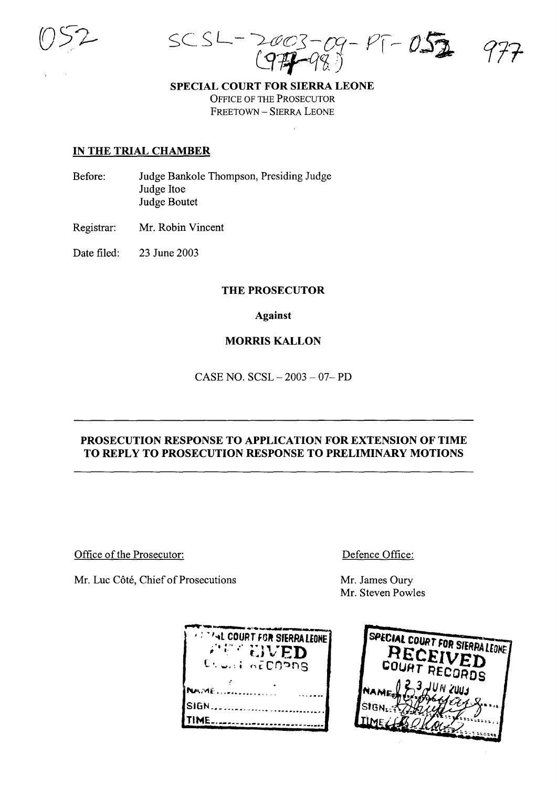$SCSL = 2003 09 - P1 - 052$ 

SPECIAL COURT FOR SIERRA LEONE

OFFICE OF THE PROSECUTOR FREETOWN - SIERRA LEONE

## IN THE TRIAL CHAMBER

- Before: Judge Bankole Thompson, Presiding Judge Judge Hoe Judge Boutet
- Registrar: Mr. Robin Vincent

Date filed: 23 June 2003

### THE PROSECUTOR

## Against

# MORRIS KALLON

CASE NO. SCSL - 2003 - 07- PD

# PROSECUTION RESPONSE TO APPLICATION FOR EXTENSION OF TIME TO REPLY TO PROSECUTION RESPONSE TO PRELIMINARY MOTIONS

Office of the Prosecutor:

Mr. Luc Côté, Chief of Prosecutions

Defence Office:

Mr. James Oury Mr. Steven Powles

| <b><i>CATTAL COURT FOR SIERRA LEONE</i></b> |  |
|---------------------------------------------|--|
| <b>ARE EIVED</b><br>Es uni nécroons         |  |
| <b>NAME</b>                                 |  |
| <b>SIGN</b>                                 |  |
|                                             |  |

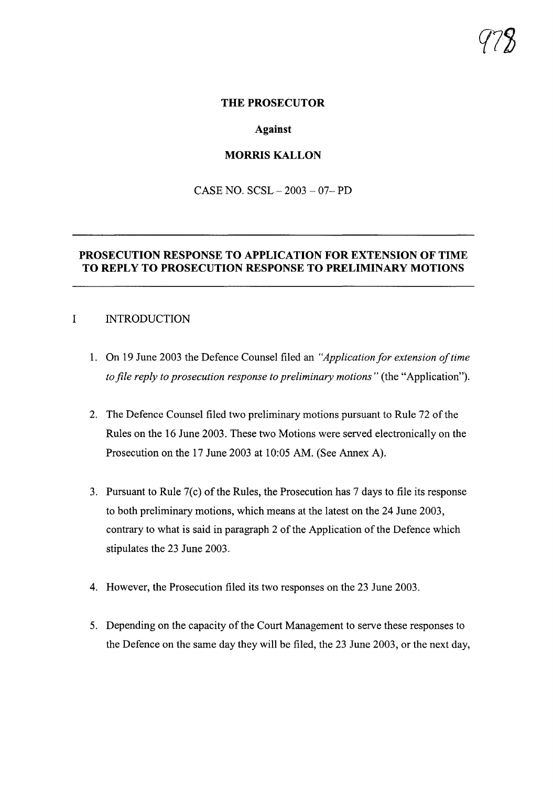#### **THE PROSECUTOR**

#### **Against**

#### **MORRIS KALLON**

CASE NO. SCSL - 2003 - 07- PD

## **PROSECUTION RESPONSE TO APPLICATION FOR EXTENSION OF TIME TO REPLY TO PROSECUTION RESPONSE TO PRELIMINARY MOTIONS**

# I INTRODUCTION

- 1. On 19 June 2003 the Defence Counsel filed an *"Application for extension oftime to file reply to prosecution response to preliminary motions"* (the "Application").
- 2. The Defence Counsel filed two preliminary motions pursuant to Rule 72 of the Rules on the 16 June 2003. These two Motions were served electronically on the Prosecution on the 17 June 2003 at 10:05 AM. (See Annex A).
- 3. Pursuant to Rule  $7(c)$  of the Rules, the Prosecution has  $7$  days to file its response to both preliminary motions, which means at the latest on the 24 June 2003, contrary to what is said in paragraph 2 of the Application of the Defence which stipulates the 23 June 2003.
- 4. However, the Prosecution filed its two responses on the 23 June 2003.
- 5. Depending on the capacity of the Court Management to serve these responses to the Defence on the same day they will be filed, the 23 June 2003, or the next day,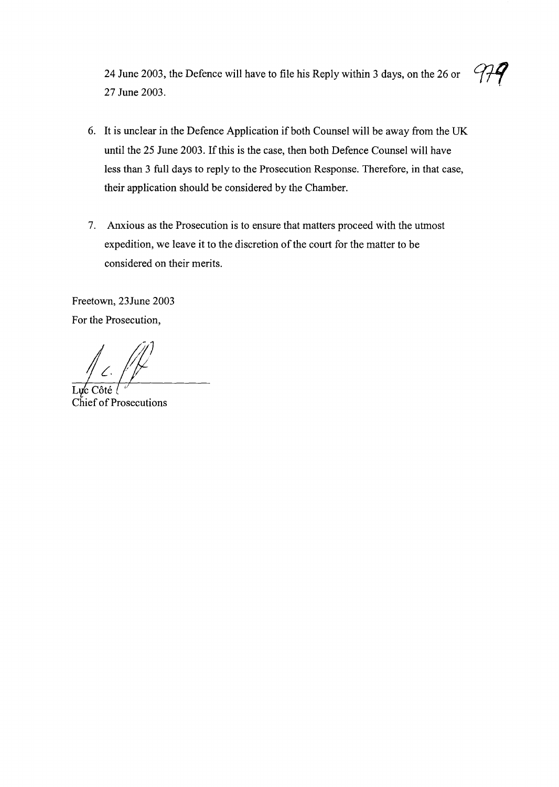24 June 2003, the Defence will have to file his Reply within 3 days, on the 26 or 27 June 2003.

- 6. It is unclear in the Defence Application if both Counsel will be away from the UK until the 25 June 2003. If this is the case, then both Defence Counsel will have less than 3 full days to reply to the Prosecution Response. Therefore, in that case, their application should be considered by the Chamber.
- 7. Anxious as the Prosecution is to ensure that matters proceed with the utmost expedition, we leave it to the discretion of the court for the matter to be considered on their merits.

Freetown, 23June 2003 For the Prosecution,

**Chief of Prosecutions**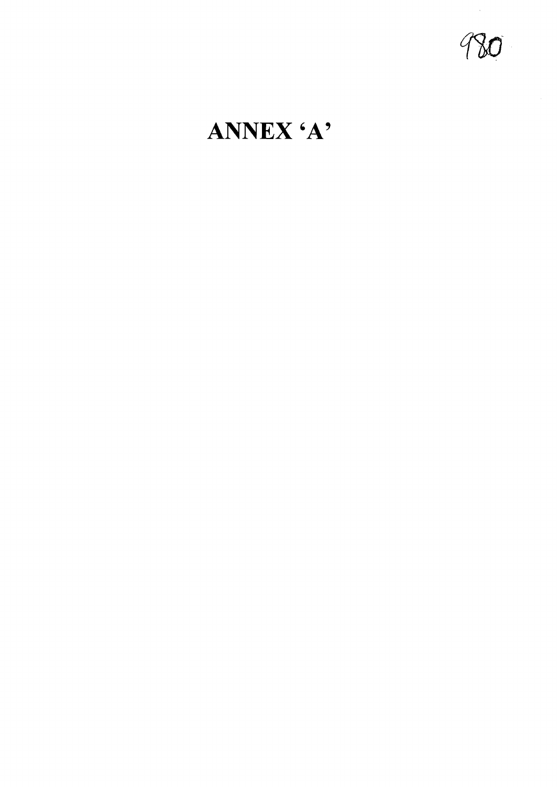980

# ANNEX 'A'